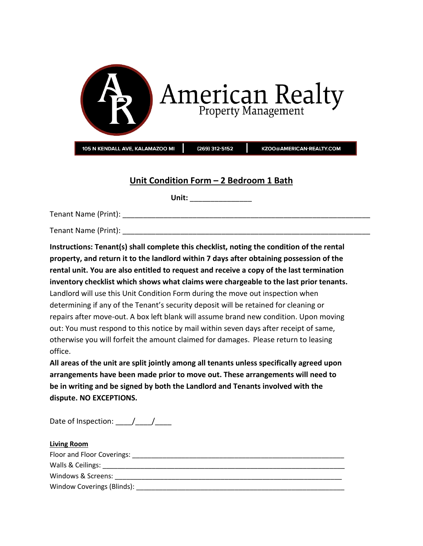

# **Unit Condition Form – 2 Bedroom 1 Bath**

**Unit:** \_\_\_\_\_\_\_\_\_\_\_\_\_\_\_

Tenant Name (Print): \_\_\_\_\_\_\_\_\_\_\_\_\_\_\_\_\_\_\_\_\_\_\_\_\_\_\_\_\_\_\_\_\_\_\_\_\_\_\_\_\_\_\_\_\_\_\_\_\_\_\_\_\_\_\_\_\_\_\_\_

Tenant Name (Print): **Example 1** and the set of  $\mathcal{L}$ 

**Instructions: Tenant(s) shall complete this checklist, noting the condition of the rental property, and return it to the landlord within 7 days after obtaining possession of the rental unit. You are also entitled to request and receive a copy of the last termination inventory checklist which shows what claims were chargeable to the last prior tenants.** Landlord will use this Unit Condition Form during the move out inspection when determining if any of the Tenant's security deposit will be retained for cleaning or repairs after move-out. A box left blank will assume brand new condition. Upon moving out: You must respond to this notice by mail within seven days after receipt of same, otherwise you will forfeit the amount claimed for damages. Please return to leasing office.

**All areas of the unit are split jointly among all tenants unless specifically agreed upon arrangements have been made prior to move out. These arrangements will need to be in writing and be signed by both the Landlord and Tenants involved with the dispute. NO EXCEPTIONS.**

Date of Inspection:  $\frac{1}{\sqrt{2}}$ 

| <b>Living Room</b>         |  |
|----------------------------|--|
| Floor and Floor Coverings: |  |
|                            |  |
| Windows & Screens:         |  |
| Window Coverings (Blinds): |  |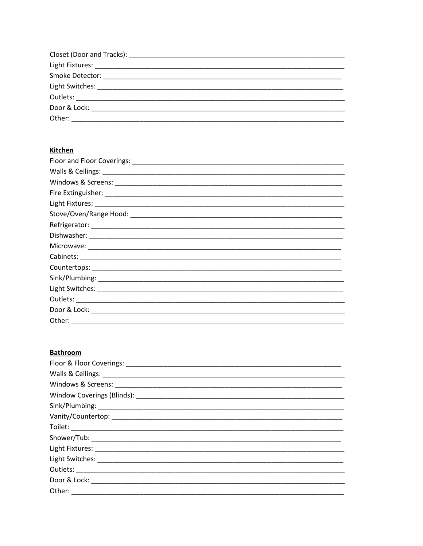| Door & Lock: |  |
|--------------|--|
| Other:       |  |

## **Kitchen**

| Other: |  |
|--------|--|

## **Bathroom**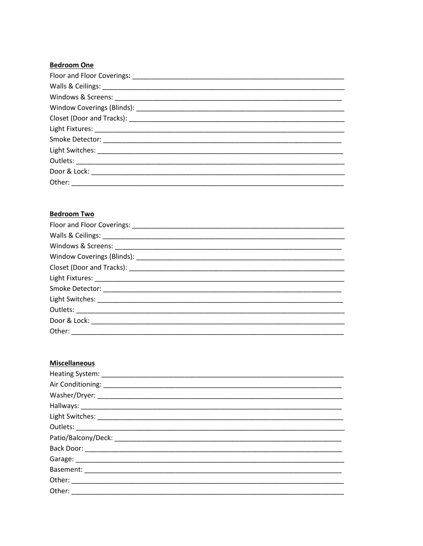#### **Bedroom One**

### **Bedroom Two**

| Other: |
|--------|

#### **Miscellaneous**